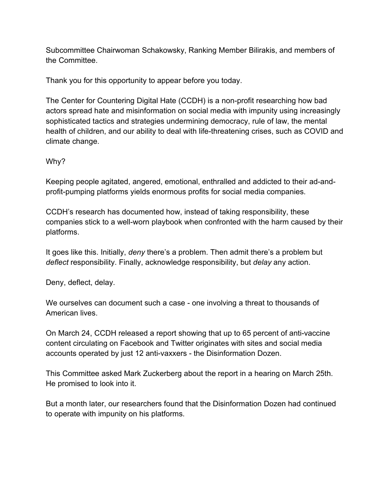Subcommittee Chairwoman Schakowsky, Ranking Member Bilirakis, and members of the Committee.

Thank you for this opportunity to appear before you today.

The Center for Countering Digital Hate (CCDH) is a non-profit researching how bad actors spread hate and misinformation on social media with impunity using increasingly sophisticated tactics and strategies undermining democracy, rule of law, the mental health of children, and our ability to deal with life-threatening crises, such as COVID and climate change.

## Why?

Keeping people agitated, angered, emotional, enthralled and addicted to their ad-andprofit-pumping platforms yields enormous profits for social media companies.

CCDH's research has documented how, instead of taking responsibility, these companies stick to a well-worn playbook when confronted with the harm caused by their platforms.

It goes like this. Initially, *deny* there's a problem. Then admit there's a problem but *deflect* responsibility. Finally, acknowledge responsibility, but *delay* any action.

Deny, deflect, delay.

We ourselves can document such a case - one involving a threat to thousands of American lives.

On March 24, CCDH released a report showing that up to 65 percent of anti-vaccine content circulating on Facebook and Twitter originates with sites and social media accounts operated by just 12 anti-vaxxers - the Disinformation Dozen.

This Committee asked Mark Zuckerberg about the report in a hearing on March 25th. He promised to look into it.

But a month later, our researchers found that the Disinformation Dozen had continued to operate with impunity on his platforms.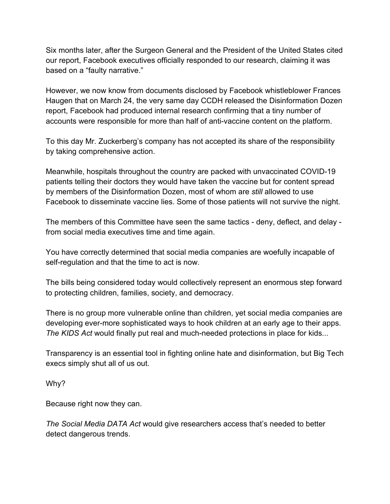Six months later, after the Surgeon General and the President of the United States cited our report, Facebook executives officially responded to our research, claiming it was based on a "faulty narrative."

However, we now know from documents disclosed by Facebook whistleblower Frances Haugen that on March 24, the very same day CCDH released the Disinformation Dozen report, Facebook had produced internal research confirming that a tiny number of accounts were responsible for more than half of anti-vaccine content on the platform.

To this day Mr. Zuckerberg's company has not accepted its share of the responsibility by taking comprehensive action.

Meanwhile, hospitals throughout the country are packed with unvaccinated COVID-19 patients telling their doctors they would have taken the vaccine but for content spread by members of the Disinformation Dozen, most of whom are *still* allowed to use Facebook to disseminate vaccine lies. Some of those patients will not survive the night.

The members of this Committee have seen the same tactics - deny, deflect, and delay from social media executives time and time again.

You have correctly determined that social media companies are woefully incapable of self-regulation and that the time to act is now.

The bills being considered today would collectively represent an enormous step forward to protecting children, families, society, and democracy.

There is no group more vulnerable online than children, yet social media companies are developing ever-more sophisticated ways to hook children at an early age to their apps. *The KIDS Act* would finally put real and much-needed protections in place for kids...

Transparency is an essential tool in fighting online hate and disinformation, but Big Tech execs simply shut all of us out.

Why?

Because right now they can.

*The Social Media DATA Act* would give researchers access that's needed to better detect dangerous trends.